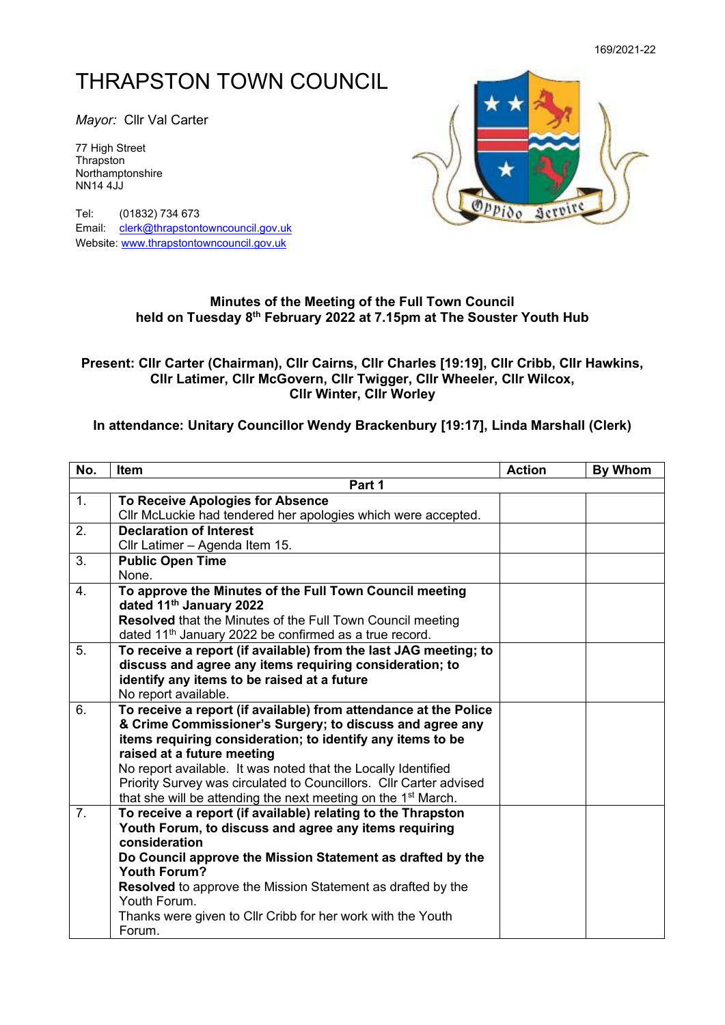## THRAPSTON TOWN COUNCIL

*Mayor:* Cllr Val Carter

77 High Street **Thrapston** Northamptonshire NN14 4JJ

Tel: (01832) 734 673 Email: [clerk@thrapstontowncouncil.gov.uk](mailto:clerk@thrapstontowncouncil.gov.uk) Website[: www.thrapstontowncouncil.gov.uk](http://www.thrapstontowncouncil.gov.uk/)



## **Minutes of the Meeting of the Full Town Council held on Tuesday 8 th February 2022 at 7.15pm at The Souster Youth Hub**

## **Present: Cllr Carter (Chairman), Cllr Cairns, Cllr Charles [19:19], Cllr Cribb, Cllr Hawkins, Cllr Latimer, Cllr McGovern, Cllr Twigger, Cllr Wheeler, Cllr Wilcox, Cllr Winter, Cllr Worley**

## **In attendance: Unitary Councillor Wendy Brackenbury [19:17], Linda Marshall (Clerk)**

| No.            | Item                                                                                                                                                                                                                                                                                                                                                                                                                                         | <b>Action</b> | <b>By Whom</b> |
|----------------|----------------------------------------------------------------------------------------------------------------------------------------------------------------------------------------------------------------------------------------------------------------------------------------------------------------------------------------------------------------------------------------------------------------------------------------------|---------------|----------------|
|                | Part 1                                                                                                                                                                                                                                                                                                                                                                                                                                       |               |                |
| 1.             | To Receive Apologies for Absence<br>Cllr McLuckie had tendered her apologies which were accepted.                                                                                                                                                                                                                                                                                                                                            |               |                |
| 2.             | <b>Declaration of Interest</b><br>Cllr Latimer - Agenda Item 15.                                                                                                                                                                                                                                                                                                                                                                             |               |                |
| 3.             | <b>Public Open Time</b><br>None.                                                                                                                                                                                                                                                                                                                                                                                                             |               |                |
| 4.             | To approve the Minutes of the Full Town Council meeting<br>dated 11 <sup>th</sup> January 2022<br><b>Resolved</b> that the Minutes of the Full Town Council meeting<br>dated 11 <sup>th</sup> January 2022 be confirmed as a true record.                                                                                                                                                                                                    |               |                |
| 5.             | To receive a report (if available) from the last JAG meeting; to<br>discuss and agree any items requiring consideration; to<br>identify any items to be raised at a future<br>No report available.                                                                                                                                                                                                                                           |               |                |
| 6.             | To receive a report (if available) from attendance at the Police<br>& Crime Commissioner's Surgery; to discuss and agree any<br>items requiring consideration; to identify any items to be<br>raised at a future meeting<br>No report available. It was noted that the Locally Identified<br>Priority Survey was circulated to Councillors. Cllr Carter advised<br>that she will be attending the next meeting on the 1 <sup>st</sup> March. |               |                |
| 7 <sub>1</sub> | To receive a report (if available) relating to the Thrapston<br>Youth Forum, to discuss and agree any items requiring<br>consideration<br>Do Council approve the Mission Statement as drafted by the<br><b>Youth Forum?</b><br>Resolved to approve the Mission Statement as drafted by the<br>Youth Forum.<br>Thanks were given to Cllr Cribb for her work with the Youth<br>Forum.                                                          |               |                |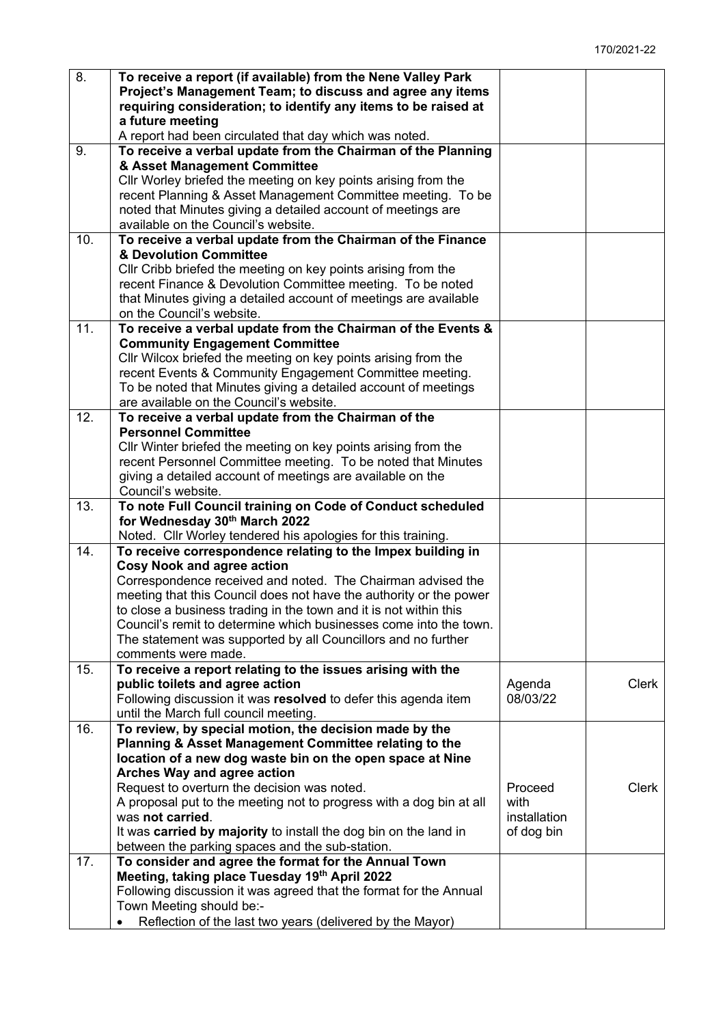| 8.  | To receive a report (if available) from the Nene Valley Park<br>Project's Management Team; to discuss and agree any items<br>requiring consideration; to identify any items to be raised at<br>a future meeting<br>A report had been circulated that day which was noted. |              |              |
|-----|---------------------------------------------------------------------------------------------------------------------------------------------------------------------------------------------------------------------------------------------------------------------------|--------------|--------------|
| 9.  | To receive a verbal update from the Chairman of the Planning                                                                                                                                                                                                              |              |              |
|     | & Asset Management Committee                                                                                                                                                                                                                                              |              |              |
|     | Cllr Worley briefed the meeting on key points arising from the                                                                                                                                                                                                            |              |              |
|     | recent Planning & Asset Management Committee meeting. To be                                                                                                                                                                                                               |              |              |
|     | noted that Minutes giving a detailed account of meetings are                                                                                                                                                                                                              |              |              |
|     | available on the Council's website.                                                                                                                                                                                                                                       |              |              |
| 10. | To receive a verbal update from the Chairman of the Finance                                                                                                                                                                                                               |              |              |
|     | & Devolution Committee                                                                                                                                                                                                                                                    |              |              |
|     | Cllr Cribb briefed the meeting on key points arising from the                                                                                                                                                                                                             |              |              |
|     | recent Finance & Devolution Committee meeting. To be noted                                                                                                                                                                                                                |              |              |
|     | that Minutes giving a detailed account of meetings are available                                                                                                                                                                                                          |              |              |
|     | on the Council's website.                                                                                                                                                                                                                                                 |              |              |
| 11. | To receive a verbal update from the Chairman of the Events &                                                                                                                                                                                                              |              |              |
|     | <b>Community Engagement Committee</b>                                                                                                                                                                                                                                     |              |              |
|     | Cllr Wilcox briefed the meeting on key points arising from the                                                                                                                                                                                                            |              |              |
|     | recent Events & Community Engagement Committee meeting.                                                                                                                                                                                                                   |              |              |
|     | To be noted that Minutes giving a detailed account of meetings                                                                                                                                                                                                            |              |              |
|     | are available on the Council's website.                                                                                                                                                                                                                                   |              |              |
| 12. | To receive a verbal update from the Chairman of the                                                                                                                                                                                                                       |              |              |
|     | <b>Personnel Committee</b>                                                                                                                                                                                                                                                |              |              |
|     | Cllr Winter briefed the meeting on key points arising from the                                                                                                                                                                                                            |              |              |
|     | recent Personnel Committee meeting. To be noted that Minutes                                                                                                                                                                                                              |              |              |
|     | giving a detailed account of meetings are available on the<br>Council's website.                                                                                                                                                                                          |              |              |
| 13. | To note Full Council training on Code of Conduct scheduled                                                                                                                                                                                                                |              |              |
|     | for Wednesday 30th March 2022                                                                                                                                                                                                                                             |              |              |
|     | Noted. Cllr Worley tendered his apologies for this training.                                                                                                                                                                                                              |              |              |
| 14. | To receive correspondence relating to the Impex building in                                                                                                                                                                                                               |              |              |
|     | <b>Cosy Nook and agree action</b>                                                                                                                                                                                                                                         |              |              |
|     | Correspondence received and noted. The Chairman advised the                                                                                                                                                                                                               |              |              |
|     | meeting that this Council does not have the authority or the power                                                                                                                                                                                                        |              |              |
|     | to close a business trading in the town and it is not within this                                                                                                                                                                                                         |              |              |
|     | Council's remit to determine which businesses come into the town.                                                                                                                                                                                                         |              |              |
|     | The statement was supported by all Councillors and no further                                                                                                                                                                                                             |              |              |
|     | comments were made.                                                                                                                                                                                                                                                       |              |              |
| 15. | To receive a report relating to the issues arising with the                                                                                                                                                                                                               |              |              |
|     | public toilets and agree action                                                                                                                                                                                                                                           | Agenda       | <b>Clerk</b> |
|     | Following discussion it was resolved to defer this agenda item                                                                                                                                                                                                            | 08/03/22     |              |
|     | until the March full council meeting.                                                                                                                                                                                                                                     |              |              |
| 16. | To review, by special motion, the decision made by the                                                                                                                                                                                                                    |              |              |
|     | Planning & Asset Management Committee relating to the                                                                                                                                                                                                                     |              |              |
|     | location of a new dog waste bin on the open space at Nine                                                                                                                                                                                                                 |              |              |
|     | Arches Way and agree action                                                                                                                                                                                                                                               |              |              |
|     | Request to overturn the decision was noted.                                                                                                                                                                                                                               | Proceed      | <b>Clerk</b> |
|     | A proposal put to the meeting not to progress with a dog bin at all                                                                                                                                                                                                       | with         |              |
|     | was not carried.                                                                                                                                                                                                                                                          | installation |              |
|     | It was carried by majority to install the dog bin on the land in                                                                                                                                                                                                          | of dog bin   |              |
| 17. | between the parking spaces and the sub-station.<br>To consider and agree the format for the Annual Town                                                                                                                                                                   |              |              |
|     | Meeting, taking place Tuesday 19th April 2022                                                                                                                                                                                                                             |              |              |
|     | Following discussion it was agreed that the format for the Annual                                                                                                                                                                                                         |              |              |
|     | Town Meeting should be:-                                                                                                                                                                                                                                                  |              |              |
|     | Reflection of the last two years (delivered by the Mayor)                                                                                                                                                                                                                 |              |              |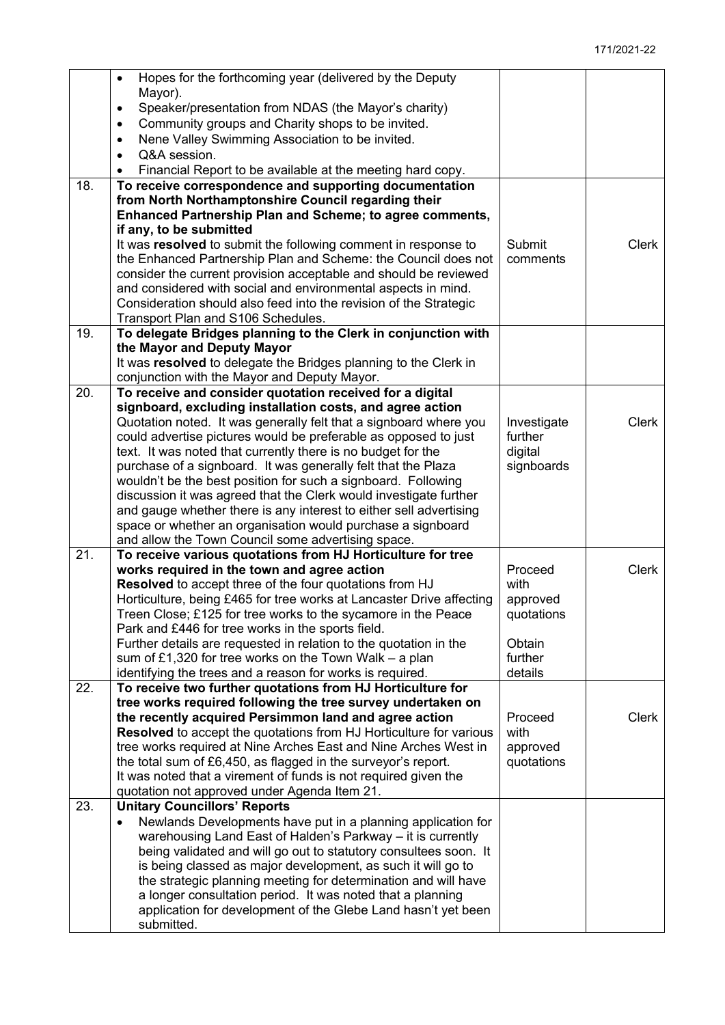|     | Hopes for the forthcoming year (delivered by the Deputy<br>$\bullet$                                                            |                        |              |
|-----|---------------------------------------------------------------------------------------------------------------------------------|------------------------|--------------|
|     | Mayor).                                                                                                                         |                        |              |
|     | Speaker/presentation from NDAS (the Mayor's charity)<br>$\bullet$                                                               |                        |              |
|     | Community groups and Charity shops to be invited.<br>$\bullet$                                                                  |                        |              |
|     | Nene Valley Swimming Association to be invited.<br>$\bullet$                                                                    |                        |              |
|     | Q&A session.<br>$\bullet$                                                                                                       |                        |              |
|     | Financial Report to be available at the meeting hard copy.                                                                      |                        |              |
| 18. | To receive correspondence and supporting documentation                                                                          |                        |              |
|     | from North Northamptonshire Council regarding their                                                                             |                        |              |
|     | Enhanced Partnership Plan and Scheme; to agree comments,                                                                        |                        |              |
|     | if any, to be submitted                                                                                                         |                        |              |
|     | It was resolved to submit the following comment in response to                                                                  | Submit                 | <b>Clerk</b> |
|     | the Enhanced Partnership Plan and Scheme: the Council does not                                                                  | comments               |              |
|     | consider the current provision acceptable and should be reviewed                                                                |                        |              |
|     | and considered with social and environmental aspects in mind.                                                                   |                        |              |
|     | Consideration should also feed into the revision of the Strategic                                                               |                        |              |
|     | Transport Plan and S106 Schedules.                                                                                              |                        |              |
| 19. | To delegate Bridges planning to the Clerk in conjunction with                                                                   |                        |              |
|     | the Mayor and Deputy Mayor                                                                                                      |                        |              |
|     | It was resolved to delegate the Bridges planning to the Clerk in                                                                |                        |              |
|     | conjunction with the Mayor and Deputy Mayor.                                                                                    |                        |              |
| 20. | To receive and consider quotation received for a digital                                                                        |                        |              |
|     | signboard, excluding installation costs, and agree action                                                                       |                        |              |
|     | Quotation noted. It was generally felt that a signboard where you                                                               | Investigate            | <b>Clerk</b> |
|     | could advertise pictures would be preferable as opposed to just                                                                 | further                |              |
|     | text. It was noted that currently there is no budget for the                                                                    | digital                |              |
|     | purchase of a signboard. It was generally felt that the Plaza                                                                   | signboards             |              |
|     | wouldn't be the best position for such a signboard. Following                                                                   |                        |              |
|     | discussion it was agreed that the Clerk would investigate further                                                               |                        |              |
|     | and gauge whether there is any interest to either sell advertising                                                              |                        |              |
|     | space or whether an organisation would purchase a signboard                                                                     |                        |              |
|     | and allow the Town Council some advertising space.                                                                              |                        |              |
| 21. | To receive various quotations from HJ Horticulture for tree                                                                     |                        |              |
|     | works required in the town and agree action                                                                                     | Proceed<br>with        | <b>Clerk</b> |
|     | Resolved to accept three of the four quotations from HJ<br>Horticulture, being £465 for tree works at Lancaster Drive affecting |                        |              |
|     | Treen Close; £125 for tree works to the sycamore in the Peace                                                                   | approved<br>quotations |              |
|     | Park and £446 for tree works in the sports field.                                                                               |                        |              |
|     | Further details are requested in relation to the quotation in the                                                               | Obtain                 |              |
|     | sum of £1,320 for tree works on the Town Walk $-$ a plan                                                                        | further                |              |
|     | identifying the trees and a reason for works is required.                                                                       | details                |              |
| 22. | To receive two further quotations from HJ Horticulture for                                                                      |                        |              |
|     | tree works required following the tree survey undertaken on                                                                     |                        |              |
|     | the recently acquired Persimmon land and agree action                                                                           | Proceed                | <b>Clerk</b> |
|     | <b>Resolved</b> to accept the quotations from HJ Horticulture for various                                                       | with                   |              |
|     | tree works required at Nine Arches East and Nine Arches West in                                                                 | approved               |              |
|     | the total sum of £6,450, as flagged in the surveyor's report.                                                                   | quotations             |              |
|     | It was noted that a virement of funds is not required given the                                                                 |                        |              |
|     | quotation not approved under Agenda Item 21.                                                                                    |                        |              |
| 23. | <b>Unitary Councillors' Reports</b>                                                                                             |                        |              |
|     | Newlands Developments have put in a planning application for<br>$\bullet$                                                       |                        |              |
|     | warehousing Land East of Halden's Parkway - it is currently                                                                     |                        |              |
|     | being validated and will go out to statutory consultees soon. It                                                                |                        |              |
|     | is being classed as major development, as such it will go to                                                                    |                        |              |
|     | the strategic planning meeting for determination and will have                                                                  |                        |              |
|     | a longer consultation period. It was noted that a planning                                                                      |                        |              |
|     | application for development of the Glebe Land hasn't yet been                                                                   |                        |              |
|     | submitted.                                                                                                                      |                        |              |